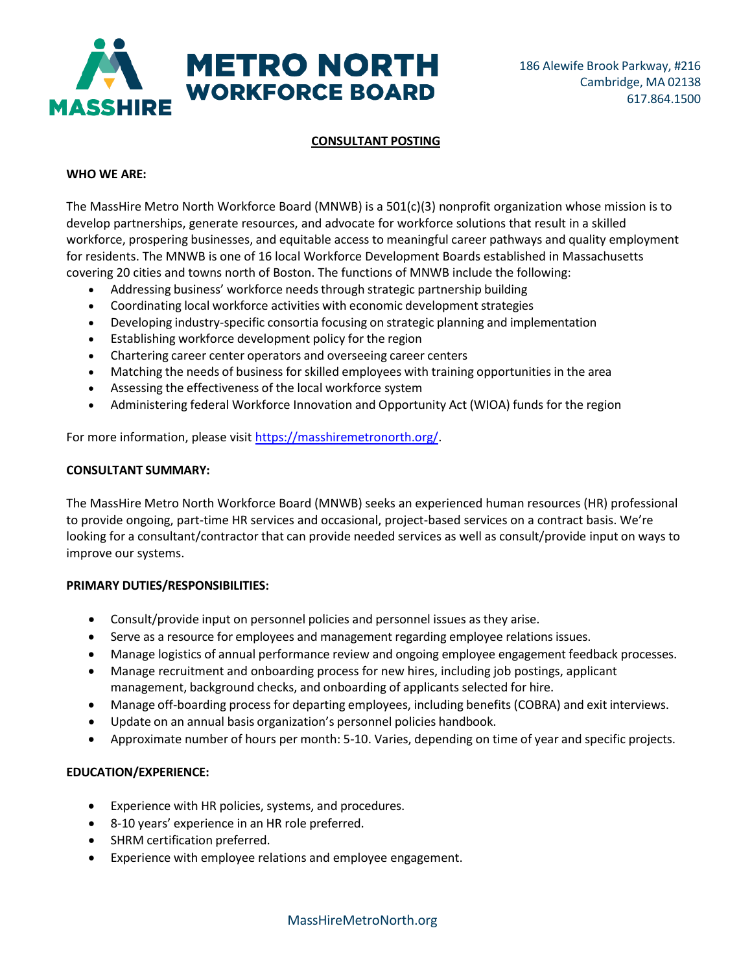

# **CONSULTANT POSTING**

### **WHO WE ARE:**

The MassHire Metro North Workforce Board (MNWB) is a 501(c)(3) nonprofit organization whose mission is to develop partnerships, generate resources, and advocate for workforce solutions that result in a skilled workforce, prospering businesses, and equitable access to meaningful career pathways and quality employment for residents. The MNWB is one of 16 local Workforce Development Boards established in Massachusetts covering 20 cities and towns north of Boston. The functions of MNWB include the following:

- Addressing business' workforce needs through strategic partnership building
- Coordinating local workforce activities with economic development strategies
- Developing industry-specific consortia focusing on strategic planning and implementation
- Establishing workforce development policy for the region
- Chartering career center operators and overseeing career centers
- Matching the needs of business for skilled employees with training opportunities in the area
- Assessing the effectiveness of the local workforce system
- Administering federal Workforce Innovation and Opportunity Act (WIOA) funds for the region

For more information, please visi[t https://masshiremetronorth.org/.](https://masshiremetronorth.org/)

### **CONSULTANT SUMMARY:**

The MassHire Metro North Workforce Board (MNWB) seeks an experienced human resources (HR) professional to provide ongoing, part-time HR services and occasional, project-based services on a contract basis. We're looking for a consultant/contractor that can provide needed services as well as consult/provide input on ways to improve our systems.

## **PRIMARY DUTIES/RESPONSIBILITIES:**

- Consult/provide input on personnel policies and personnel issues as they arise.
- Serve as a resource for employees and management regarding employee relations issues.
- Manage logistics of annual performance review and ongoing employee engagement feedback processes.
- Manage recruitment and onboarding process for new hires, including job postings, applicant management, background checks, and onboarding of applicants selected for hire.
- Manage off-boarding process for departing employees, including benefits (COBRA) and exit interviews.
- Update on an annual basis organization's personnel policies handbook.
- Approximate number of hours per month: 5-10. Varies, depending on time of year and specific projects.

## **EDUCATION/EXPERIENCE:**

- Experience with HR policies, systems, and procedures.
- 8-10 years' experience in an HR role preferred.
- SHRM certification preferred.
- Experience with employee relations and employee engagement.